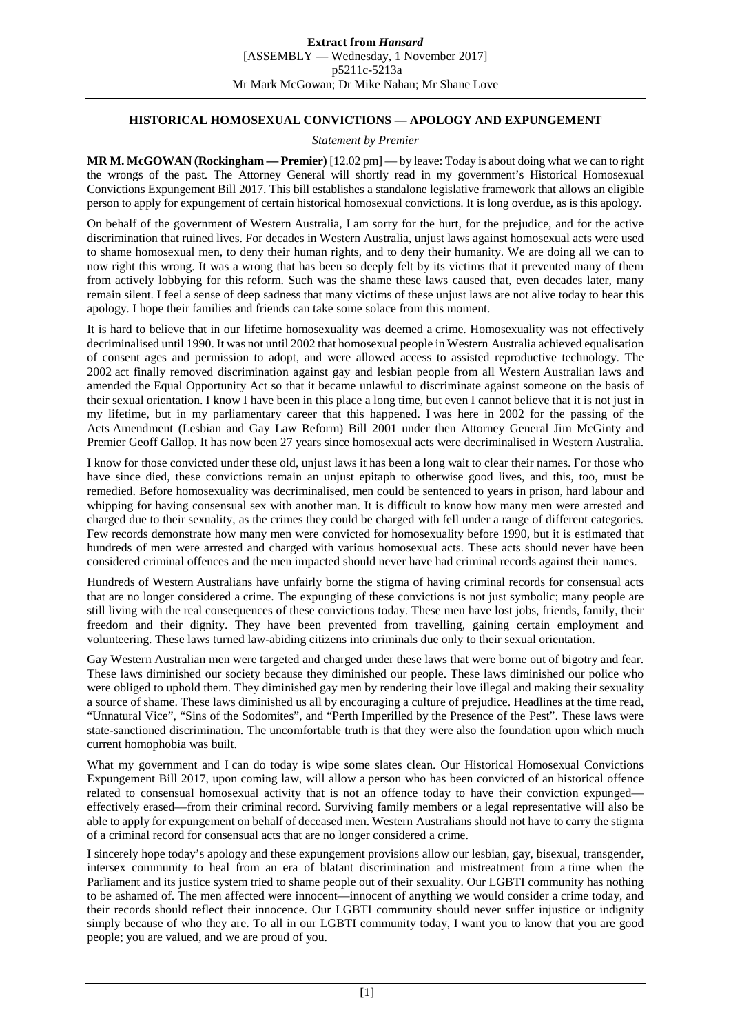## **HISTORICAL HOMOSEXUAL CONVICTIONS — APOLOGY AND EXPUNGEMENT**

## *Statement by Premier*

**MR M. McGOWAN (Rockingham — Premier)** [12.02 pm] — by leave: Today is about doing what we can to right the wrongs of the past. The Attorney General will shortly read in my government's Historical Homosexual Convictions Expungement Bill 2017. This bill establishes a standalone legislative framework that allows an eligible person to apply for expungement of certain historical homosexual convictions. It is long overdue, as is this apology.

On behalf of the government of Western Australia, I am sorry for the hurt, for the prejudice, and for the active discrimination that ruined lives. For decades in Western Australia, unjust laws against homosexual acts were used to shame homosexual men, to deny their human rights, and to deny their humanity. We are doing all we can to now right this wrong. It was a wrong that has been so deeply felt by its victims that it prevented many of them from actively lobbying for this reform. Such was the shame these laws caused that, even decades later, many remain silent. I feel a sense of deep sadness that many victims of these unjust laws are not alive today to hear this apology. I hope their families and friends can take some solace from this moment.

It is hard to believe that in our lifetime homosexuality was deemed a crime. Homosexuality was not effectively decriminalised until 1990. It was not until 2002 that homosexual people in Western Australia achieved equalisation of consent ages and permission to adopt, and were allowed access to assisted reproductive technology. The 2002 act finally removed discrimination against gay and lesbian people from all Western Australian laws and amended the Equal Opportunity Act so that it became unlawful to discriminate against someone on the basis of their sexual orientation. I know I have been in this place a long time, but even I cannot believe that it is not just in my lifetime, but in my parliamentary career that this happened. I was here in 2002 for the passing of the Acts Amendment (Lesbian and Gay Law Reform) Bill 2001 under then Attorney General Jim McGinty and Premier Geoff Gallop. It has now been 27 years since homosexual acts were decriminalised in Western Australia.

I know for those convicted under these old, unjust laws it has been a long wait to clear their names. For those who have since died, these convictions remain an unjust epitaph to otherwise good lives, and this, too, must be remedied. Before homosexuality was decriminalised, men could be sentenced to years in prison, hard labour and whipping for having consensual sex with another man. It is difficult to know how many men were arrested and charged due to their sexuality, as the crimes they could be charged with fell under a range of different categories. Few records demonstrate how many men were convicted for homosexuality before 1990, but it is estimated that hundreds of men were arrested and charged with various homosexual acts. These acts should never have been considered criminal offences and the men impacted should never have had criminal records against their names.

Hundreds of Western Australians have unfairly borne the stigma of having criminal records for consensual acts that are no longer considered a crime. The expunging of these convictions is not just symbolic; many people are still living with the real consequences of these convictions today. These men have lost jobs, friends, family, their freedom and their dignity. They have been prevented from travelling, gaining certain employment and volunteering. These laws turned law-abiding citizens into criminals due only to their sexual orientation.

Gay Western Australian men were targeted and charged under these laws that were borne out of bigotry and fear. These laws diminished our society because they diminished our people. These laws diminished our police who were obliged to uphold them. They diminished gay men by rendering their love illegal and making their sexuality a source of shame. These laws diminished us all by encouraging a culture of prejudice. Headlines at the time read, "Unnatural Vice", "Sins of the Sodomites", and "Perth Imperilled by the Presence of the Pest". These laws were state-sanctioned discrimination. The uncomfortable truth is that they were also the foundation upon which much current homophobia was built.

What my government and I can do today is wipe some slates clean. Our Historical Homosexual Convictions Expungement Bill 2017, upon coming law, will allow a person who has been convicted of an historical offence related to consensual homosexual activity that is not an offence today to have their conviction expunged effectively erased—from their criminal record. Surviving family members or a legal representative will also be able to apply for expungement on behalf of deceased men. Western Australians should not have to carry the stigma of a criminal record for consensual acts that are no longer considered a crime.

I sincerely hope today's apology and these expungement provisions allow our lesbian, gay, bisexual, transgender, intersex community to heal from an era of blatant discrimination and mistreatment from a time when the Parliament and its justice system tried to shame people out of their sexuality. Our LGBTI community has nothing to be ashamed of. The men affected were innocent—innocent of anything we would consider a crime today, and their records should reflect their innocence. Our LGBTI community should never suffer injustice or indignity simply because of who they are. To all in our LGBTI community today, I want you to know that you are good people; you are valued, and we are proud of you.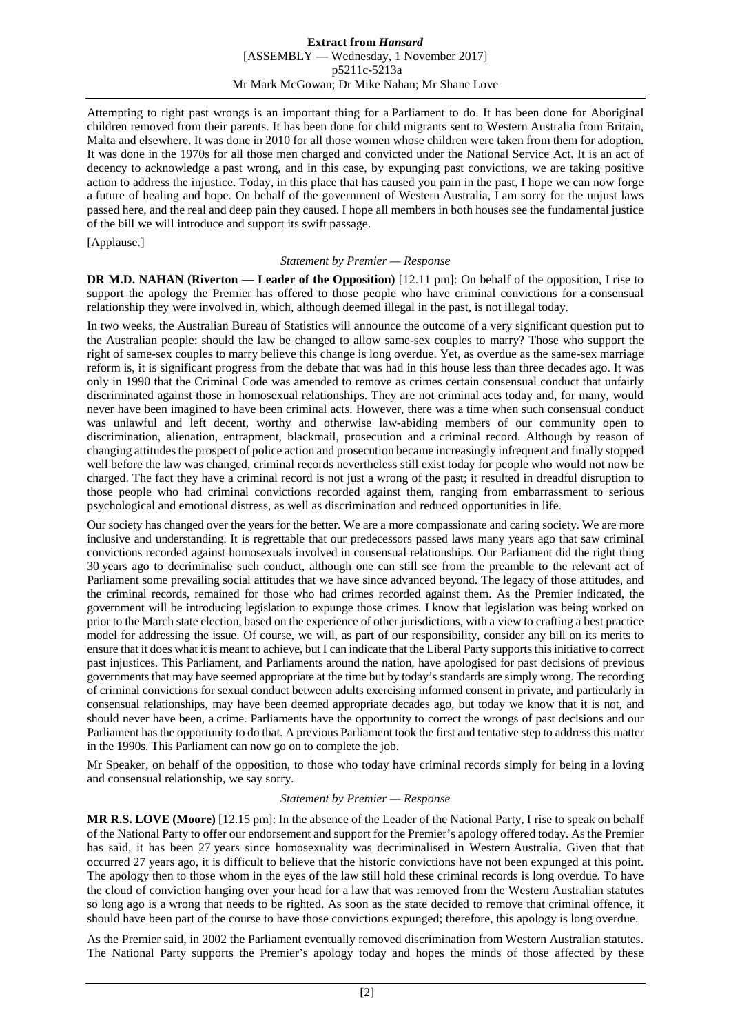Attempting to right past wrongs is an important thing for a Parliament to do. It has been done for Aboriginal children removed from their parents. It has been done for child migrants sent to Western Australia from Britain, Malta and elsewhere. It was done in 2010 for all those women whose children were taken from them for adoption. It was done in the 1970s for all those men charged and convicted under the National Service Act. It is an act of decency to acknowledge a past wrong, and in this case, by expunging past convictions, we are taking positive action to address the injustice. Today, in this place that has caused you pain in the past, I hope we can now forge a future of healing and hope. On behalf of the government of Western Australia, I am sorry for the unjust laws passed here, and the real and deep pain they caused. I hope all members in both houses see the fundamental justice of the bill we will introduce and support its swift passage.

[Applause.]

## *Statement by Premier — Response*

**DR M.D. NAHAN (Riverton — Leader of the Opposition)** [12.11 pm]: On behalf of the opposition, I rise to support the apology the Premier has offered to those people who have criminal convictions for a consensual relationship they were involved in, which, although deemed illegal in the past, is not illegal today.

In two weeks, the Australian Bureau of Statistics will announce the outcome of a very significant question put to the Australian people: should the law be changed to allow same-sex couples to marry? Those who support the right of same-sex couples to marry believe this change is long overdue. Yet, as overdue as the same-sex marriage reform is, it is significant progress from the debate that was had in this house less than three decades ago. It was only in 1990 that the Criminal Code was amended to remove as crimes certain consensual conduct that unfairly discriminated against those in homosexual relationships. They are not criminal acts today and, for many, would never have been imagined to have been criminal acts. However, there was a time when such consensual conduct was unlawful and left decent, worthy and otherwise law-abiding members of our community open to discrimination, alienation, entrapment, blackmail, prosecution and a criminal record. Although by reason of changing attitudes the prospect of police action and prosecution became increasingly infrequent and finally stopped well before the law was changed, criminal records nevertheless still exist today for people who would not now be charged. The fact they have a criminal record is not just a wrong of the past; it resulted in dreadful disruption to those people who had criminal convictions recorded against them, ranging from embarrassment to serious psychological and emotional distress, as well as discrimination and reduced opportunities in life.

Our society has changed over the years for the better. We are a more compassionate and caring society. We are more inclusive and understanding. It is regrettable that our predecessors passed laws many years ago that saw criminal convictions recorded against homosexuals involved in consensual relationships. Our Parliament did the right thing 30 years ago to decriminalise such conduct, although one can still see from the preamble to the relevant act of Parliament some prevailing social attitudes that we have since advanced beyond. The legacy of those attitudes, and the criminal records, remained for those who had crimes recorded against them. As the Premier indicated, the government will be introducing legislation to expunge those crimes. I know that legislation was being worked on prior to the March state election, based on the experience of other jurisdictions, with a view to crafting a best practice model for addressing the issue. Of course, we will, as part of our responsibility, consider any bill on its merits to ensure that it does what it is meant to achieve, but I can indicate that the Liberal Party supports this initiative to correct past injustices. This Parliament, and Parliaments around the nation, have apologised for past decisions of previous governments that may have seemed appropriate at the time but by today's standards are simply wrong. The recording of criminal convictions for sexual conduct between adults exercising informed consent in private, and particularly in consensual relationships, may have been deemed appropriate decades ago, but today we know that it is not, and should never have been, a crime. Parliaments have the opportunity to correct the wrongs of past decisions and our Parliament has the opportunity to do that. A previous Parliament took the first and tentative step to address this matter in the 1990s. This Parliament can now go on to complete the job.

Mr Speaker, on behalf of the opposition, to those who today have criminal records simply for being in a loving and consensual relationship, we say sorry.

## *Statement by Premier — Response*

**MR R.S. LOVE (Moore)** [12.15 pm]: In the absence of the Leader of the National Party, I rise to speak on behalf of the National Party to offer our endorsement and support for the Premier's apology offered today. As the Premier has said, it has been 27 years since homosexuality was decriminalised in Western Australia. Given that that occurred 27 years ago, it is difficult to believe that the historic convictions have not been expunged at this point. The apology then to those whom in the eyes of the law still hold these criminal records is long overdue. To have the cloud of conviction hanging over your head for a law that was removed from the Western Australian statutes so long ago is a wrong that needs to be righted. As soon as the state decided to remove that criminal offence, it should have been part of the course to have those convictions expunged; therefore, this apology is long overdue.

As the Premier said, in 2002 the Parliament eventually removed discrimination from Western Australian statutes. The National Party supports the Premier's apology today and hopes the minds of those affected by these